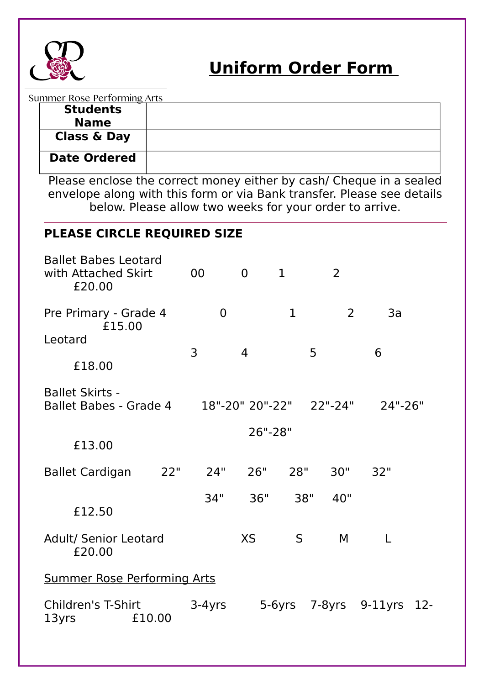

Summer Rose Performing Arts

Please enclose the correct money either by cash/ Cheque in a sealed envelope along with this form or via Bank transfer. Please see details below. Please allow two weeks for your order to arrive. **PLEASE CIRCLE REQUIRED SIZE** Ballet Babes Leotard with Attached Skirt 00 0 1 2 £20.00 Pre Primary - Grade 4 0 1 2 3a £15.00 Leotard 3 4 5 6 £18.00 Ballet Skirts - Ballet Babes - Grade 4 18"-20" 20"-22" 22"-24" 24"-26" 26"-28" £13.00 Ballet Cardigan 22" 24" 26" 28" 30" 32" 34" 36" 38" 40" £12.50 Adult/ Senior Leotard XS S M L £20.00 Summer Rose Performing Arts Children's T-Shirt 3-4yrs 5-6yrs 7-8yrs 9-11yrs 12- 13yrs £10.00 **Students Name Class & Day Date Ordered**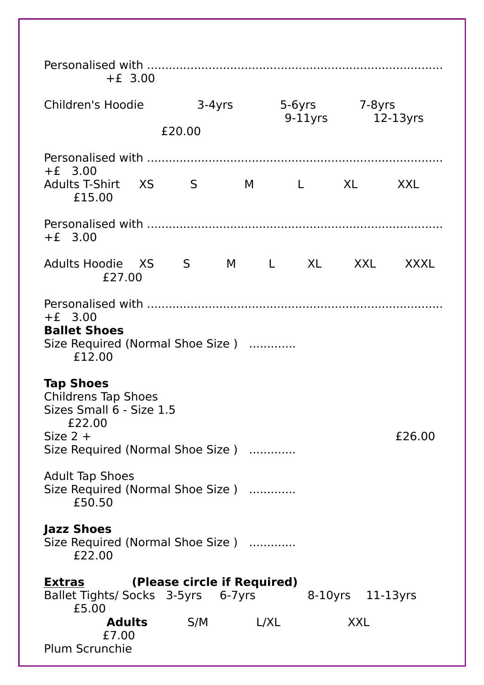| $+E$ 3.00                                                                                                                              |  |          |      |                           |               |             |  |
|----------------------------------------------------------------------------------------------------------------------------------------|--|----------|------|---------------------------|---------------|-------------|--|
| Children's Hoodie                                                                                                                      |  | $3-4yrs$ |      |                           | 5-6yrs 7-8yrs |             |  |
| £20.00                                                                                                                                 |  |          |      |                           | $9-11$ yrs    | $12-13$ yrs |  |
| $+E$ 3.00<br>Adults T-Shirt XS<br>£15.00                                                                                               |  | S        | M    | <b>XL</b><br>$\mathbb{L}$ |               | <b>XXL</b>  |  |
| $+E$ 3.00                                                                                                                              |  |          |      |                           |               |             |  |
| Adults Hoodie XS S<br>£27.00                                                                                                           |  |          |      | M L XL XXL                |               | <b>XXXL</b> |  |
| $+E$ 3.00<br><b>Ballet Shoes</b><br>Size Required (Normal Shoe Size)<br>£12.00                                                         |  |          |      |                           |               |             |  |
| <b>Tap Shoes</b><br><b>Childrens Tap Shoes</b><br>Sizes Small 6 - Size 1.5<br>£22.00<br>Size $2 +$<br>Size Required (Normal Shoe Size) |  |          |      |                           |               | £26.00      |  |
| <b>Adult Tap Shoes</b><br>Size Required (Normal Shoe Size)<br>£50.50                                                                   |  |          |      |                           |               |             |  |
| <b>Jazz Shoes</b><br>Size Required (Normal Shoe Size)<br>£22.00                                                                        |  |          |      |                           |               |             |  |
| (Please circle if Required)<br><b>Extras</b><br>8-10yrs 11-13yrs<br>Ballet Tights/ Socks 3-5yrs 6-7yrs<br>£5.00                        |  |          |      |                           |               |             |  |
| <b>Adults</b><br>£7.00<br><b>Plum Scrunchie</b>                                                                                        |  | S/M      | L/XL |                           | <b>XXL</b>    |             |  |